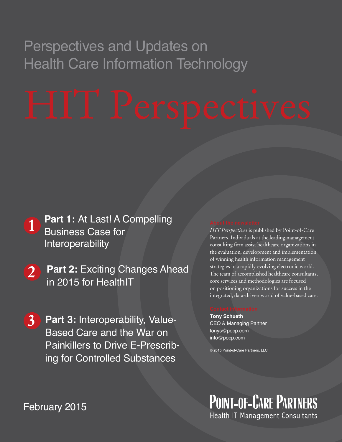## Perspectives and Updates on Health Care Information Technology

- **1** Part 1: At Last! A Compelling<br>Business Case for Business Case for Interoperability
- **2 Part 2:** Exciting Changes Ahead in 2015 for HealthIT
- **3 Part 3:** Interoperability, Value-Based Care and the War on Painkillers to Drive E-Prescribing for Controlled Substances

### *HIT Perspectives* is published by Point-of-Care Partners. Individuals at the leading management consulting firm assist healthcare organizations in the evaluation, development and implementation of winning health information management strategies in a rapidly evolving electronic world. The team of accomplished healthcare consultants, core services and methodologies are focused on positioning organizations for success in the integrated, data-driven world of value-based care.

**Tony Schueth** CEO & Managing Partner tonys@pocp.com info@pocp.com

© 2015 Point-of-Care Partners, LLC

**POINT-OF-CARE PARTNERS** Health IT Management Consultants

February 2015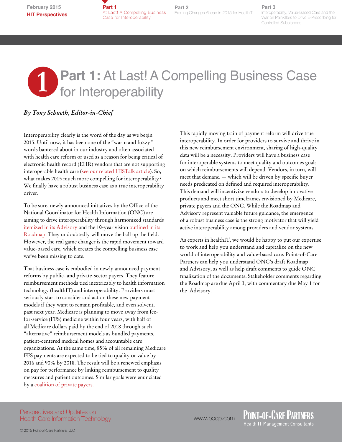**Part 1**  At Last! A Compelling Business Case for Interoperability

**Part 2** Exciting Changes Ahead in 2015 for HealthIT

### **Part 3**

Interoperability, Value-Based Care and the War on Painkillers to Drive E-Prescribing for Controlled Substances

## **1** Part 1: At Last! A Compelling Business Case<br>for Interoperability for Interoperability Shine Spotlanders Shine Spotlers Shine Spotlers Shine Spotlers Shine Spotlers Shine Spotlers Shine Spotlers Shine Spotlers Shine Spotlers Shine Spotlers Spotlers Spotlers Spotlers Spotlers Spotlers Spo

### *By Tony Schueth, Editor-in-Chief*

Interoperability clearly is the word of the day as we begin 2015. Until now, it has been one of the "warm and fuzzy" words bantered about in our industry and often associated with health care reform or used as a reason for being critical of electronic health record (EHR) vendors that are not supporting interoperable health care [\(see our related HISTalk article](http://histalk2.com/2015/01/30/readers-write-information-blocking-dont-blame-the-ehr/)). So, what makes 2015 much more compelling for interoperability? We finally have a robust business case as a true interoperability driver.

To be sure, newly announced initiatives by the Office of the National Coordinator for Health Information (ONC) are aiming to drive interoperability through harmonized standards [itemized in its Advisory](http://www.healthit.gov/sites/default/files/2015interoperabilitystandardsadvisory01232015final_for_public_comment.pdf) and the 10-year vision [outlined in its](http://www.healthit.gov/sites/default/files/nationwide-interoperability-roadmap-draft-version-1.0.pdf)  [Roadmap](http://www.healthit.gov/sites/default/files/nationwide-interoperability-roadmap-draft-version-1.0.pdf). They undoubtedly will move the ball up the field. However, the real game changer is the rapid movement toward value-based care, which creates the compelling business case we've been missing to date.

That business case is embodied in newly announced payment reforms by public- and private-sector payers. They feature reimbursement methods tied inextricably to health information technology (healthIT) and interoperability. Providers must seriously start to consider and act on these new payment models if they want to remain profitable, and even solvent, past next year. Medicare is planning to move away from feefor-service (FFS) medicine within four years, with half of all Medicare dollars paid by the end of 2018 through such "alternative" reimbursement models as bundled payments, patient-centered medical homes and accountable care organizations. At the same time, 85% of all remaining Medicare FFS payments are expected to be tied to quality or value by 2016 and 90% by 2018. The result will be a renewed emphasis on pay for performance by linking reimbursement to quality measures and patient outcomes. Similar goals were enunciated by a [coalition of private payers.](http://www.hcttf.org)

This rapidly moving train of payment reform will drive true interoperability. In order for providers to survive and thrive in this new reimbursement environment, sharing of high-quality data will be a necessity. Providers will have a business case for interoperable systems to meet quality and outcomes goals on which reimbursements will depend. Vendors, in turn, will meet that demand — which will be driven by specific buyer needs predicated on defined and required interoperability. This demand will incentivize vendors to develop innovative products and meet short timeframes envisioned by Medicare, private payers and the ONC. While the Roadmap and Advisory represent valuable future guidance, the emergence of a robust business case is the strong motivator that will yield active interoperability among providers and vendor systems.

As experts in healthIT, we would be happy to put our expertise to work and help you understand and capitalize on the new world of interoperability and value-based care. Point-of-Care Partners can help you understand ONC's draft Roadmap and Advisory, as well as help draft comments to guide ONC finalization of the documents. Stakeholder comments regarding the Roadmap are due April 3, with commentary due May 1 for the Advisory.

Perspectives and Updates on Health Care Information Technology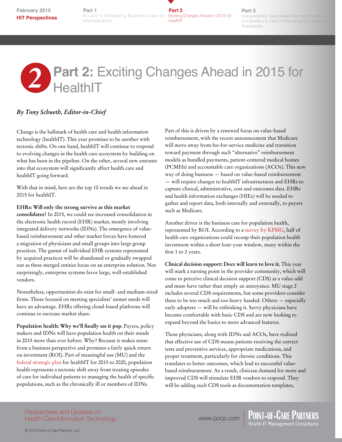**February 2015 HIT Perspectives**

**Part 2** At Last! A Compelling Business Case for Exciting Changes Ahead in 2015 for **HealthIT Part 1** Interoperability

**Part 3**

Interoperability, Value-Based Care and the War on Painkillers to Drive E-Prescribing for Controlled Substances

# **Part 2: Exciting Changes Ahead in 2015 for<br>
<b>Part 2: Exciting Changes Ahead in 2015 for**

## *By Tony Schueth, Editor-in-Chief*

Change is the hallmark of health care and health information technology (healthIT). This year promises to be another with tectonic shifts. On one hand, healthIT will continue to respond to evolving changes in the health care ecosystem by building on what has been in the pipeline. On the other, several new entrants into that ecosystem will significantly affect health care and healthIT going forward.

With that in mind, here are the top 10 trends we see ahead in 2015 for healthIT.

### **EHRs: Will only the strong survive as this market**

**consolidates?** In 2015, we could see increased consolidation in the electronic health record (EHR) market, mostly involving integrated delivery networks (IDNs). The emergence of valuebased reimbursement and other market forces have fostered a migration of physicians and small groups into large group practices. The gamut of individual EHR systems represented by acquired practices will be abandoned or gradually swapped out as these merged entities focus on an enterprise solution. Not surprisingly, enterprise systems favor large, well-established vendors.

Nonetheless, opportunities do exist for small- and medium-sized firms. Those focused on meeting specialists' unmet needs will have an advantage. EHRs offering cloud-based platforms will continue to increase market share.

**Population health: Why we'll finally see it pop.** Payers, policy makers and IDNs will have population health on their minds in 2015 more than ever before. Why? Because it makes sense from a business perspective and promises a fairly quick return on investment (ROI). Part of meaningful use (MU) and the [federal strategic plan](http://www.healthit.gov/sites/default/files/federal-healthIT-strategic-plan-2014.pdf) for healthIT for 2015 to 2020, population health represents a tectonic shift away from treating episodes of care for individual patients to managing the health of specific populations, such as the chronically ill or members of IDNs.

Part of this is driven by a renewed focus on value-based reimbursement, with the recent announcement that Medicare will move away from fee-for-service medicine and transition toward payment through such "alternative" reimbursement models as bundled payments, patient-centered medical homes (PCMHs) and accountable care organizations (ACOs). This new way of doing business — based on value-based reimbursement — will require changes to healthIT infrastructures and EHRs to capture clinical, administrative, cost and outcomes data. EHRs and health information exchanges (HIEs) will be needed to gather and report data, both internally and externally, to payers such as Medicare.

Another driver is the business case for population health, represented by ROI. According to a [survey by KPMG](http://www.prnewswire.com/news-releases/kpmg-survey-majority-of-health-executives-see-population-health-investment-recouped-within-4-years-300020062.html), half of health care organizations could recoup their population health investment within a short four-year window, many within the first 1 to 2 years.

**Clinical decision support: Docs will learn to love it.** This year will mark a turning point in the provider community, which will come to perceive clinical decision support (CDS) as a value-add and must-have rather than simply an annoyance. MU stage 2 includes several CDS requirements, but some providers consider these to be too much and too heavy handed. Others — especially early adopters — will be rethinking it. Savvy physicians have become comfortable with basic CDS and are now looking to expand beyond the basics to more advanced features.

These physicians, along with IDNs and ACOs, have realized that effective use of CDS means patients receiving the correct tests and preventive services, appropriate medications, and proper treatment, particularly for chronic conditions. This translates to better outcomes, which lead to successful valuebased reimbursement. As a result, clinician demand for more and improved CDS will stimulate EHR vendors to respond. They will be adding such CDS tools as documentation templates,

Perspectives and Updates on Health Care Information Technology www.pocp.com | POINT-OF-CARE PARTNERS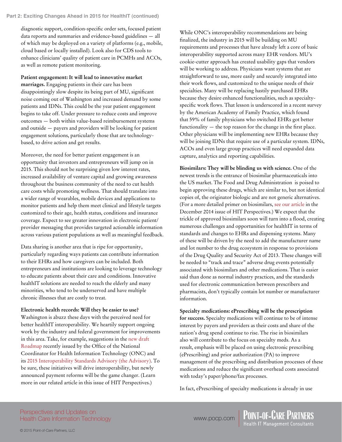### **Part 2: Exciting Changes Ahead in 2015 for HealthIT (continued)**

diagnostic support, condition-specific order sets, focused patient data reports and summaries and evidence-based guidelines — all of which may be deployed on a variety of platforms (e.g., mobile, cloud based or locally installed). Look also for CDS tools to enhance clinicians' quality of patient care in PCMHs and ACOs, as well as remote patient monitoring.

**Patient engagement: It will lead to innovative market marriages.** Engaging patients in their care has been disappointingly slow despite its being part of MU, significant noise coming out of Washington and increased demand by some patients and IDNs. This could be the year patient engagement begins to take off. Under pressure to reduce costs and improve outcomes — both within value-based reimbursement systems and outside — payers and providers will be looking for patient engagement solutions, particularly those that are technologybased, to drive action and get results.

Moreover, the need for better patient engagement is an opportunity that investors and entrepreneurs will jump on in 2015. This should not be surprising given low interest rates, increased availability of venture capital and growing awareness throughout the business community of the need to cut health care costs while promoting wellness. That should translate into a wider range of wearables, mobile devices and applications to monitor patients and help them meet clinical and lifestyle targets customized to their age, health status, conditions and insurance coverage. Expect to see greater innovation in electronic patient/ provider messaging that provides targeted actionable information across various patient populations as well as meaningful feedback.

Data sharing is another area that is ripe for opportunity, particularly regarding ways patients can contribute information to their EHRs and how caregivers can be included. Both entrepreneurs and institutions are looking to leverage technology to educate patients about their care and conditions. Innovative healthIT solutions are needed to reach the elderly and many minorities, who tend to be underserved and have multiple chronic illnesses that are costly to treat.

**Electronic health records: Will they be easier to use?**  Washington is abuzz these days with the perceived need for better healthIT interoperability. We heartily support ongoing work by the industry and federal government for improvements in this area. Take, for example, suggestions in the [new draft](http://www.healthit.gov/sites/default/files/nationwide-interoperability-roadmap-draft-version-1.0.pdf)  [Roadmap](http://www.healthit.gov/sites/default/files/nationwide-interoperability-roadmap-draft-version-1.0.pdf) recently issued by the Office of the National Coordinator for Health Information Technology (ONC) and its [2015 Interoperability Standards Advisory \(the Advisory\)](http://www.healthit.gov/sites/default/files/2015interoperabilitystandardsadvisory01232015final_for_public_comment.pdf). To be sure, these initiatives will drive interoperability, but newly announced payment reforms will be the game changer. (Learn more in our related article in this issue of HIT Perspectives.)

While ONC's interoperability recommendations are being finalized, the industry in 2015 will be building on MU requirements and processes that have already left a core of basic interoperability supported across many EHR vendors. MU's cookie-cutter approach has created usability gaps that vendors will be working to address. Physicians want systems that are straightforward to use, more easily and securely integrated into their work flows, and customized to the unique needs of their specialties. Many will be replacing hastily purchased EHRs because they desire enhanced functionalities, such as specialtyspecific work flows. That lesson is underscored in a recent survey by the American Academy of Family Practice, which found that 59% of family physicians who switched EHRs got better functionality — the top reason for the change in the first place. Other physicians will be implementing new EHRs because they will be joining IDNs that require use of a particular system. IDNs, ACOs and even large group practices will need expanded data capture, analytics and reporting capabilities.

**Biosimilars: They will be blinding us with science.** One of the newest trends is the entrance of biosimilar pharmaceuticals into the US market. The Food and Drug Administration is poised to begin approving these drugs, which are similar to, but not identical copies of, the originator biologic and are not generic alternatives. (For a more detailed primer on biosimilars, [see our article](http://www.pocp.com/hitperspectives_opportunityknocks.html#.VOSnDr69V8x) in the December 2014 issue of HIT Perspectives.) We expect that the trickle of approved biosimilars soon will turn into a flood, creating numerous challenges and opportunities for healthIT in terms of standards and changes to EHRs and dispensing systems. Many of these will be driven by the need to add the manufacturer name and lot number to the drug ecosystem in response to provisions of the Drug Quality and Security Act of 2013. These changes will be needed to "track and trace" adverse drug events potentially associated with biosimilars and other medications. That is easier said than done as normal industry practices, and the standards used for electronic communication between prescribers and pharmacists, don't typically contain lot number or manufacturer information.

**Specialty medications: ePrescribing will be the prescription for success.** Specialty medications will continue to be of intense interest by payers and providers as their costs and share of the nation's drug spend continue to rise. The rise in biosimilars also will contribute to the focus on specialty meds. As a result, emphasis will be placed on using electronic prescribing (ePrescribing) and prior authorization (PA) to improve management of the prescribing and distribution processes of these medications and reduce the significant overhead costs associated with today's paper/phone/fax processes.

In fact, ePrescribing of specialty medications is already in use

### Perspectives and Updates on Health Care Information Technology

www.pocp.com | POINT-OF-CARE PARTNERS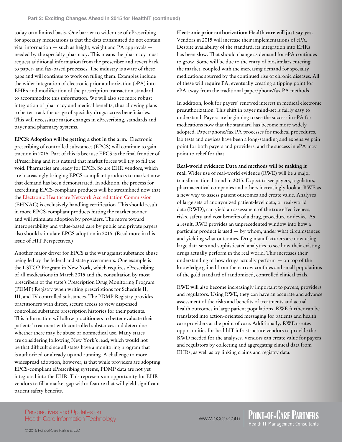today on a limited basis. One barrier to wider use of ePrescribing for specialty medications is that the data transmitted do not contain vital information — such as height, weight and PA approvals needed by the specialty pharmacy. This means the pharmacy must request additional information from the prescriber and revert back to paper- and fax-based processes. The industry is aware of these gaps and will continue to work on filling them. Examples include the wider integration of electronic prior authorization (ePA) into EHRs and modification of the prescription transaction standard to accommodate this information. We will also see more robust integration of pharmacy and medical benefits, thus allowing plans to better track the usage of specialty drugs across beneficiaries. This will necessitate major changes in ePrescribing, standards and payer and pharmacy systems.

**EPCS: Adoption will be getting a shot in the arm.** Electronic prescribing of controlled substances (EPCS) will continue to gain traction in 2015. Part of this is because EPCS is the final frontier of ePrescribing and it is natural that market forces will try to fill the void. Pharmacies are ready for EPCS. So are EHR vendors, which are increasingly bringing EPCS-compliant products to market now that demand has been demonstrated. In addition, the process for accrediting EPCS-compliant products will be streamlined now that the [Electronic Healthcare Network Accreditation Commission](https://www.ehnac.org) (EHNAC) is exclusively handling certification. This should result in more EPCS-compliant products hitting the market sooner and will stimulate adoption by providers. The move toward interoperability and value-based care by public and private payers also should stimulate EPCS adoption in 2015. (Read more in this issue of HIT Perspectives.)

Another major driver for EPCS is the war against substance abuse being led by the federal and state governments. One example is the I-STOP Program in New York, which requires ePrescribing of all medications in March 2015 and the consultation by most prescribers of the state's Prescription Drug Monitoring Program (PDMP) Registry when writing prescriptions for Schedule II, III, and IV controlled substances. The PDMP Registry provides practitioners with direct, secure access to view dispensed controlled substance prescription histories for their patients. This information will allow practitioners to better evaluate their patients' treatment with controlled substances and determine whether there may be abuse or nonmedical use. Many states are considering following New York's lead, which would not be that difficult since all states have a monitoring program that is authorized or already up and running. A challenge to more widespread adoption, however, is that while providers are adopting EPCS-compliant ePrescribing systems, PDMP data are not yet integrated into the EHR. This represents an opportunity for EHR vendors to fill a market gap with a feature that will yield significant patient safety benefits.

**Electronic prior authorization: Health care will just say yes.**  Vendors in 2015 will increase their implementations of ePA. Despite availability of the standard, its integration into EHRs has been slow. That should change as demand for ePA continues to grow. Some will be due to the entry of biosimilars entering the market, coupled with the increasing demand for specialty medications spurred by the continued rise of chronic diseases. All of these will require PA, eventually creating a tipping point for ePA away from the traditional paper/phone/fax PA methods.

In addition, look for payers' renewed interest in medical electronic preauthorization. This shift in payer mind-set is fairly easy to understand. Payers are beginning to see the success in ePA for medications now that the standard has become more widely adopted. Paper/phone/fax PA processes for medical procedures, lab tests and devices have been a long-standing and expensive pain point for both payers and providers, and the success in ePA may point to relief for that.

**Real-world evidence: Data and methods will be making it real.** Wider use of real-world evidence (RWE) will be a major transformational trend in 2015. Expect to see payers, regulators, pharmaceutical companies and others increasingly look at RWE as a new way to assess patient outcomes and create value. Analyses of large sets of anonymized patient-level data, or real-world data (RWD), can yield an assessment of the true effectiveness, risks, safety and cost benefits of a drug, procedure or device. As a result, RWE provides an unprecedented window into how a particular product is used — by whom, under what circumstances and yielding what outcomes. Drug manufacturers are now using large data sets and sophisticated analytics to see how their existing drugs actually perform in the real world. This increases their understanding of how drugs actually perform — on top of the knowledge gained from the narrow confines and small populations of the gold standard of randomized, controlled clinical trials.

RWE will also become increasingly important to payers, providers and regulators. Using RWE, they can have an accurate and advance assessment of the risks and benefits of treatments and actual health outcomes in large patient populations. RWE further can be translated into action-oriented messaging for patients and health care providers at the point of care. Additionally, RWE creates opportunities for healthIT infrastructure vendors to provide the RWD needed for the analyses. Vendors can create value for payers and regulators by collecting and aggregating clinical data from EHRs, as well as by linking claims and registry data.

Perspectives and Updates on Health Care Information Technology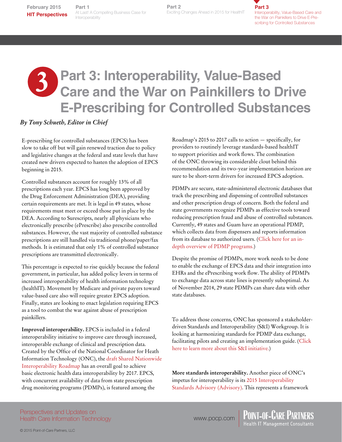**Part 1** At Last! A Compelling Business At Last! A Compelling Business Case for Interoperability

**Part 2**<br>Exciting Changes Ahead in 2015 for HealthIT **Part 2**

**Part 3** Interoperability, Value-Based Care and the War on Painkillers to Drive E-Prescribing for Controlled Substances

# **3** s **Part 3: Interoperability, Value-Based Care and the War on Painkillers to Drive Part 1** Part **Existes Case for**<br> **Example Substance Substances Ahead in 2015 for HealthTen precedibility, value Based Car<br>
<b>Part 3: Interoperability, Value-Based**<br> **Care and the War on Painkillers to Drive**<br> **E-Prescribin**

### *By Tony Schueth, Editor in Chief*

E-prescribing for controlled substances (EPCS) has been slow to take off but will gain renewed traction due to policy and legislative changes at the federal and state levels that have created new drivers expected to hasten the adoption of EPCS beginning in 2015.

Controlled substances account for roughly 13% of all prescriptions each year. EPCS has long been approved by the Drug Enforcement Administration (DEA), providing certain requirements are met. It is legal in 49 states, whose requirements must meet or exceed those put in place by the DEA. According to Surescripts, nearly all physicians who electronically prescribe (ePrescribe) also prescribe controlled substances. However, the vast majority of controlled substance prescriptions are still handled via traditional phone/paper/fax methods. It is estimated that only 1% of controlled substance prescriptions are transmitted electronically.

This percentage is expected to rise quickly because the federal government, in particular, has added policy levers in terms of increased interoperability of health information technology (healthIT). Movement by Medicare and private payers toward value-based care also will require greater EPCS adoption. Finally, states are looking to enact legislation requiring EPCS as a tool to combat the war against abuse of prescription painkillers.

**Improved interoperability.** EPCS is included in a federal interoperability initiative to improve care through increased, interoperable exchange of clinical and prescription data. Created by the Office of the National Coordinator for Heath Information Technology (ONC), th[e draft Shared Nationwide](http://www.healthit.gov/sites/default/files/nationwide-interoperability-roadmap-draft-version-1.0.pdf)  [Interoperability Roadma](http://www.healthit.gov/sites/default/files/nationwide-interoperability-roadmap-draft-version-1.0.pdf)p has an overall goal to achieve basic electronic health data interoperability by 2017. EPCS, with concurrent availability of data from state prescription drug monitoring programs (PDMPs), is featured among the

Roadmap's 2015 to 2017 calls to action — specifically, for providers to routinely leverage standards-based healthIT to support priorities and work flows. The combination of the ONC throwing its considerable clout behind this recommendation and its two-year implementation horizon are sure to be short-term drivers for increased EPCS adoption.

PDMPs are secure, state-administered electronic databases that track the prescribing and dispensing of controlled substances and other prescription drugs of concern. Both the federal and state governments recognize PDMPs as effective tools toward reducing prescription fraud and abuse of controlled substances. Currently, 49 states and Guam have an operational PDMP, which collects data from dispensers and reports information from its database to authorized users. ([Click here for an in](http://www.fas.org/sgp/crs/misc/R42593.pdf)[depth overview of PDMP programs.](http://www.fas.org/sgp/crs/misc/R42593.pdf))

Despite the promise of PDMPs, more work needs to be done to enable the exchange of EPCS data and their integration into EHRs and the ePrescribing work flow. The ability of PDMPs to exchange data across state lines is presently suboptimal. As of November 2014, 29 state PDMPs can share data with other state databases.

To address those concerns, ONC has sponsored a stakeholderdriven Standards and Interoperability (S&I) Workgroup. It is looking at harmonizing standards for PDMP data exchange, facilitating pilots and creating an implementation guide. [\(Click](http://wiki.siframework.org)  [here to learn more about this S&I initiative.\)](http://wiki.siframework.org)

**More standards interoperability.** Another piece of ONC's impetus for interoperability is its [2015 Interoperability](http://www.healthit.gov/sites/default/files/2015interoperabilitystandardsadvisory01232015final_for_public_comment.pdf)  [Standards Advisory \(Advisory\)](http://www.healthit.gov/sites/default/files/2015interoperabilitystandardsadvisory01232015final_for_public_comment.pdf). This represents a framework

Perspectives and Updates on Health Care Information Technology

www.pocp.com | POINT-OF-CARE PARTNERS<br>Health IT Management Consultants